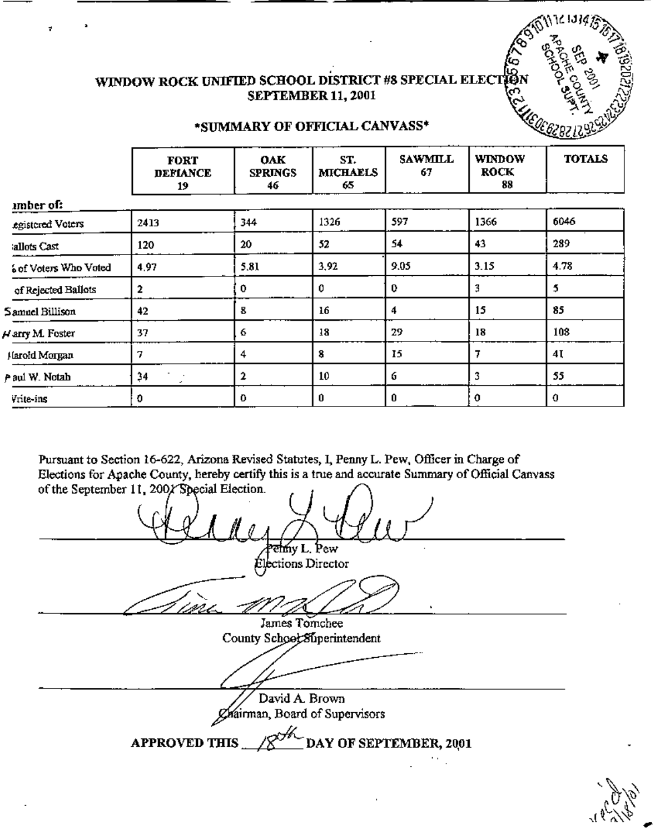

## WINDOW ROCK UNIFIED SCHOOL DISTRICT #8 SPECIAL ELEC **SEPTEMBER 11, 2001**

#### \*SUMMARY OF OFFICIAL CANVASS\*

|                       | <b>FORT</b><br><b>DEFIANCE</b><br>19 | <b>OAK</b><br><b>SPRINGS</b><br>46 | ST.<br><b>MICHAELS</b><br>65 | <b>SAWMILL</b><br>67 | <b>WINDOW</b><br><b>ROCK</b><br>88 | <b>TOTALS</b> |
|-----------------------|--------------------------------------|------------------------------------|------------------------------|----------------------|------------------------------------|---------------|
| mber of:              |                                      |                                    |                              |                      |                                    |               |
| egistered Voters      | 2413                                 | 344                                | 1326                         | 597                  | 1366                               | 6046          |
| allots Cast           | 120                                  | 20                                 | 52                           | 54                   | 43                                 | 289           |
| 6 of Voters Who Voted | 4.97                                 | 5.81                               | 3,92                         | 9.05                 | 3.15                               | 4.78          |
| of Rejected Ballots   | 2                                    | 0                                  | 0                            | 0                    | 3                                  | 5             |
| Samuel Billison       | 42                                   | 8                                  | 16                           | 4                    | 15                                 | 85            |
| Varry M. Foster       | 37                                   | 6                                  | 18                           | 29                   | 18                                 | 108           |
| Harold Morgan         | 7                                    | 4                                  | 8                            | 15                   | 7                                  | 4Į            |
| P aul W. Notah        | 34                                   | $\mathbf{2}$                       | 10                           | 6                    | 3                                  | 55            |
| Vrite-ins             | 0                                    | 0                                  | 0                            | 0                    | 0                                  | 0             |

Pursuant to Section 16-622, Arizona Revised Statutes, I, Penny L. Pew, Officer in Charge of Elections for Apache County, hereby certify this is a true and accurate Summary of Official Canvass of the September 11, 200/ Special Election.

ehny L. Pew Elections Director James Tomchee County School Superintendent David A. Brown Chairman, Board of Supervisors DAY OF SEPTEMBER, 2001 **APPROVED THIS**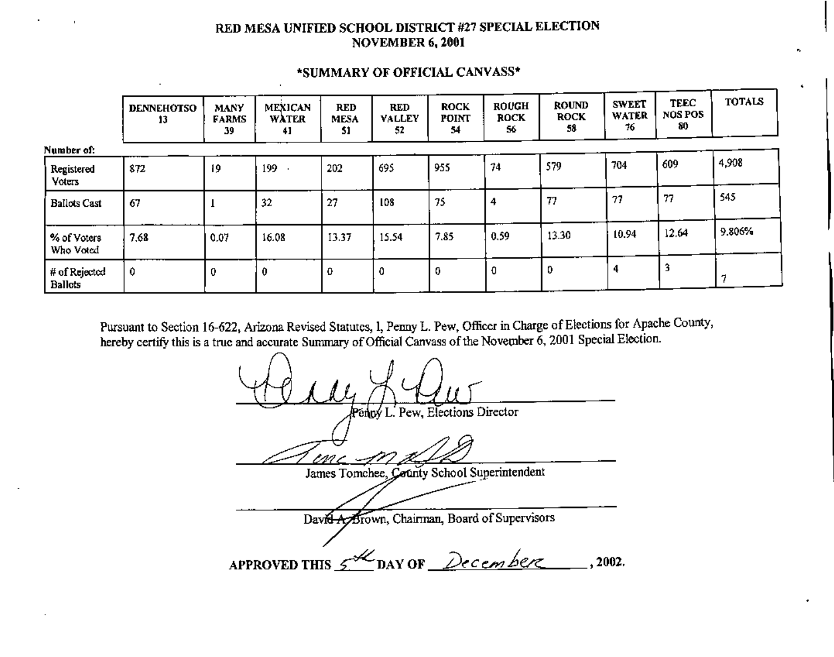### RED MESA UNIFIED SCHOOL DISTRICT #27 SPECIAL ELECTION NOVEMBER 6, 2001

|                                 | <b>DENNEHOTSO</b><br>13 | <b>MANY</b><br><b>FARMS</b><br>39 | <b>MEXICAN</b><br><b>WATER</b><br>41 | <b>RED</b><br><b>MESA</b><br>51 | RED<br><b>VALLEY</b><br>52 | <b>ROCK</b><br><b>POINT</b><br>54 | <b>ROUGH</b><br><b>ROCK</b><br>56 | <b>ROUND</b><br><b>ROCK</b><br>58 | <b>SWEET</b><br>WATER<br>76 | <b>TEEC</b><br>NOS POS<br>80 | <b>TOTALS</b> |
|---------------------------------|-------------------------|-----------------------------------|--------------------------------------|---------------------------------|----------------------------|-----------------------------------|-----------------------------------|-----------------------------------|-----------------------------|------------------------------|---------------|
| Number of:                      |                         |                                   |                                      |                                 |                            |                                   |                                   |                                   |                             |                              |               |
| Registered<br><b>Yoters</b>     | 872                     | 19                                | 199                                  | 202                             | 695                        | 955                               | 74                                | 579                               | 704                         | 609                          | 4,908         |
| <b>Ballots Cast</b>             | 67                      |                                   | 32                                   | 27                              | 108                        | 75                                |                                   | 77                                | 77                          | 77                           | 545           |
| % of Voters<br>Who Voted        | 7,68                    | 0.07                              | 16.08                                | 13.37                           | 15.54                      | 7.85                              | 0.59                              | 13.30                             | 10.94                       | 12.64                        | 9.806%        |
| # of Rejected<br><b>Ballots</b> | 0                       |                                   | 0                                    | 0                               | 0                          | 0                                 | 0                                 | 0                                 | 4                           |                              |               |

#### \*SUMMARY OF OFFICIAL CANVASS\*

Pursuant to Section 16-622, Arizona Revised Statutes, I, Penny L. Pew, Officer in Charge of Elections for Apache County, hereby certify this is a true and accurate Summary of Official Canvass of the November  $6$ , 2001 Special Election.

L. Pew. Elections Director James Tomchee, County School Superintendent David Ay Brown, Chairman, Board of Supervisors APPROVED THIS  $5^{1/2}$  DAY OF December 2002.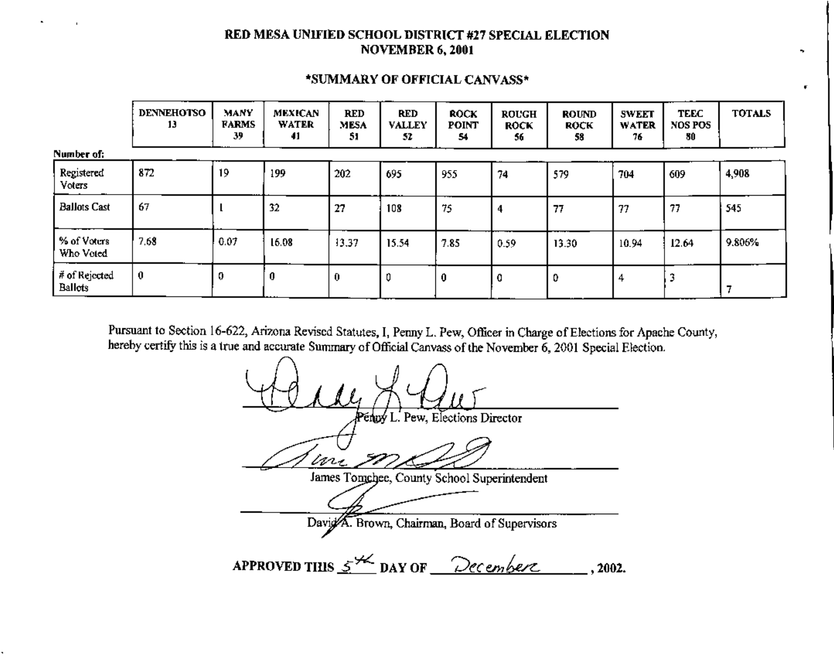## RED MESA UNIFIED SCHOOL DISTRICT #27 SPECIAL ELECTION **NOVEMBER 6, 2001**

|                          | <b>DENNEHOTSO</b><br>13 | <b>MANY</b><br><b>FARMS</b><br>39 | <b>MEXICAN</b><br><b>WATER</b><br>41 | <b>RED</b><br>MESA<br>51 | RED<br><b>VALLEY</b><br>51 | <b>ROCK</b><br><b>POINT</b><br>54 | <b>ROUGH</b><br><b>ROCK</b><br>56 | <b>ROUND</b><br>ROCK<br>58 | <b>SWEET</b><br><b>WATER</b><br>76 | <b>TEEC</b><br>NOS POS<br>80 | <b>TOTALS</b> |
|--------------------------|-------------------------|-----------------------------------|--------------------------------------|--------------------------|----------------------------|-----------------------------------|-----------------------------------|----------------------------|------------------------------------|------------------------------|---------------|
| Number of:               |                         |                                   |                                      |                          |                            |                                   |                                   |                            |                                    |                              |               |
| Registered<br>Voters     | 872                     | 19                                | 199                                  | 202                      | 695                        | 955                               | 74                                | 579                        | 704                                | 609                          | 4,908         |
| <b>Ballots Cast</b>      | 67                      |                                   | 32                                   | 27                       | 108                        | 75                                |                                   | 77                         | 77                                 | 77                           | 545           |
| % of Voters<br>Who Voted | 7.68                    | 0.07                              | 16.08                                | 13,37                    | 15.54                      | 7.85                              | 0.59                              | 13.30                      | 10.94                              | 12.64                        | 9.806%        |
| # of Rejected<br>Ballots | $\bf{0}$                | 0                                 | 0                                    | 0                        |                            | 0                                 | 0                                 | 0                          | 4                                  |                              |               |

#### \*SUMMARY OF OFFICIAL CANVASS\*

¥

Pursuant to Section 16-622, Arizona Revised Statutes, I, Penny L. Pew, Officer in Charge of Elections for Apache County, hereby certify this is a true and accurate Summary of Official Canvass of the November 6, 2001 Special Election.

engy L. Pew, Elections Director in. James Tongchee, County School Superintendent David A. Brown, Chairman, Board of Supervisors APPROVED THIS  $5^{44}$  DAY OF <u>December</u>  $.2002.$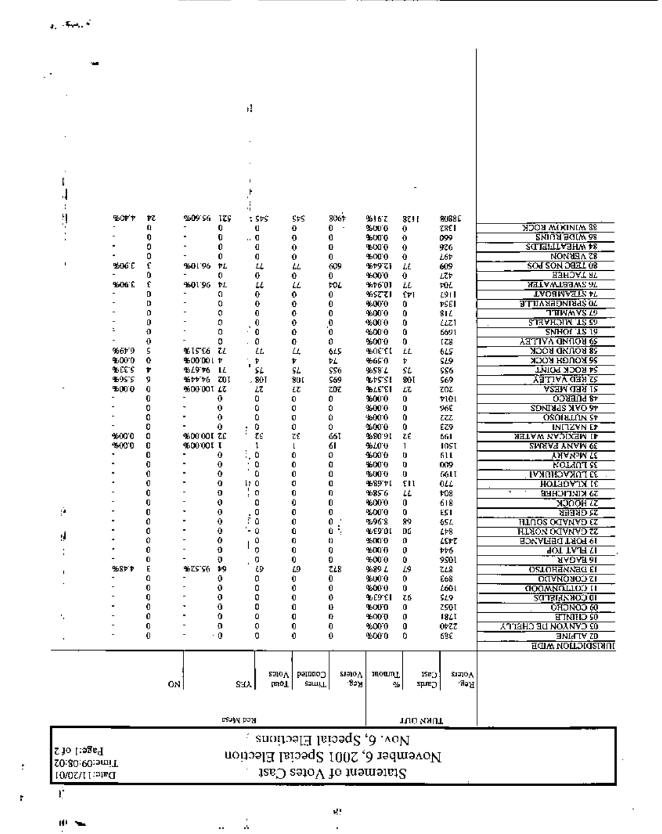$\begin{array}{c} \text{Pa} \\ \text{Time:} \\ \text{C} \\ \text{C} \\ \text{C} \\ \text{C} \\ \text{C} \\ \text{D} \\ \text{H} \\ \text{C} \\ \text{D} \\ \text{D} \\ \text{D} \\ \text{D} \\ \text{D} \\ \text{D} \\ \text{D} \\ \text{D} \\ \text{D} \\ \text{D} \\ \text{D} \\ \text{D} \\ \text{D} \\ \text{D} \\ \text{D} \\ \text{D} \\ \text{D} \\ \text{D} \\ \text{D} \\ \text{D} \\ \text{D} \\ \text{D} \\ \text{D} \\ \text{D} \\ \text{D} \\ \$ 

Ť.

Ю

ŧ

# Nov. 6, Special Elections<br>November 6, 2001 Special Election<br>Nov. 6, Special Elections

k,

 $\ddot{\phantom{a}}$ 

¥,

| %ዕኮ ኮ<br>ĸ<br>%09'S6 IZS<br>8061<br>SÞS<br>%16 Z<br><b>BUSSE</b><br>: SÞS<br>37 I I<br><b>SS WINDERS</b><br>0<br>0<br>0.<br>950010<br>zser<br>Ü<br>0<br>$\sim$<br>0<br><b>2MIUA BOIW 68</b><br>0<br>0<br>0<br>Û<br>95000<br>099<br>0<br>0<br><b>SCIEFILIABHW AS</b><br>0<br>0<br>96000<br>O<br>0<br>G<br>0<br>926<br><b>82 AEBNON</b><br>٥<br>Û<br>Q<br>0<br>%000<br>0.<br>0<br>L6Þ<br><b>SOM SON DEEL 08</b><br>£<br>ማወር ር<br>960 L 96<br>609<br>%ፇፓፘ]<br>609<br>ÞL,<br>4<br>u<br>ш<br>язнолт яг<br>Û<br>0<br>0<br>9.00 0<br>0<br>0.<br>LTÞ<br>0.<br>£<br><b>ASTAWTBSW2 AT</b><br><b>1606 C</b><br>960196 PL<br>и<br>tol<br>94601<br>ŁŁ<br>ыL<br>ш<br><b>TAOHMASTE AT</b><br>D<br>Ω<br>9552721<br>0.<br>0.<br>0.<br>£۳۱<br>291 I<br><b>JO SPRINGERVILLE</b><br>D<br>Q<br>%000<br>ÞSEI<br>0<br>Û<br>0<br>0<br>o<br>0<br><b>TTIWAYS LO</b><br>$\bf{0}$<br>0<br>%000<br>0<br>0<br>81 L<br><b>STRAHOIM TE 60</b><br>o<br>0<br>0<br>0<br>0000<br>0<br>0<br>LLZI<br>0<br>٥<br>0<br>O<br>%000<br><b>SMHOL TR 14</b><br>Û<br>0<br>6691<br>0<br>0<br><b>S9 ROUND VALLEY</b><br>O<br>Û<br>0.<br>5000<br>0<br><b>128</b><br>16679<br>5<br><b>58 ROUND ROCK</b><br><b>4615 EG</b><br>ш<br>Щ<br>‰ር £L<br>ŁΔ<br>615<br>LL<br>615<br>9,000<br>0<br><b>SG ROUGH ROCK</b><br>% OD DOL 17<br>8665 O<br>Þ<br>r<br>ÞL<br>SL9<br>Þ<br>٠<br><b>BEETS</b><br>Þ<br>ቆረን የዕ<br>SL.<br><b>S4 ROCK POINT</b><br>u<br>SL.<br>SS6<br>%S8 L<br>SL<br>SS6<br>-6955<br>ZOI.<br><u>YALIMYYULEY</u><br>9<br>¥ታታ ታሪ<br>.801<br><b>9.15 ST</b><br>90 I<br>801<br>569<br>569<br><u>ALAM CIER IZ</u><br>5000<br>0<br>%00'001 LT<br><b>BLE EI</b><br>Lτ<br>zoz<br>ZĎZ<br>ιτ<br>Łζ<br><b>AS PURRCO</b><br>0<br>0<br>0<br>1.000<br>viul<br>0<br>0.<br>Û.<br><b>AGOAK SPRINGS</b><br>0<br>0<br>٥<br>0<br>3.000<br>Û<br>o<br>965<br>0<br>0<br><b>OSOILLION SP</b><br>٥<br>0<br>Û<br>3.000<br>0<br>zzz<br>0<br>0<br>0<br>û<br>2.000<br>0<br>ÉZ9<br><b>INITZVNET</b><br>0<br>%00°00L ZE<br>τς<br>9,000<br>0<br>z٤<br>661<br>9580.91<br>τE<br>ASTAW ZAQIXSM IE<br>661<br>0<br>-600 0<br>%00'00LT<br>%40 U<br><b>ZNAAR YVAM QE</b><br>61<br>1051<br>ı<br>L<br>1<br>٥<br>0<br>0<br>95000<br>0<br>0<br>o<br>61 L<br><b><i>THANARY</i></b><br>0<br>0<br>٥<br>û<br>\$500.0<br>0<br>o<br>009<br><b>NOLINT SE</b><br>0<br>0<br>٥<br>û<br>\$000<br>Û<br>o<br>66 L T<br>33 FOKVGHOKVI<br>0<br>0<br>17 O<br>0<br>0<br>ሜ 89 ኮር<br>εn<br><b>HOLHOVIN IE</b><br>0LL<br>٠<br>û<br>Đ<br>0<br>9856<br>Ω<br>0<br>ш<br>108<br><b>33 KIKLICHER</b><br>÷<br>0<br>0<br>0<br>0<br>9:00 0<br>0<br>0<br>618<br><b>NJOOH IZ</b><br>ÿ.<br>0<br>0<br>0<br>0<br>%00'0<br>0<br><u>মরবামত হয়</u><br>0<br>EST<br>r<br>0<br>0<br>0<br>Û<br>0<br>%968<br><b>HINOS OCTAMAD ET</b><br>99<br>65 L<br>ł,<br>$-0$<br>Û<br>0<br>0<br>û<br>ሜ ሮያ ዕር<br>DG<br><b>ILIXON DO ZOKIFI</b><br>243<br>ŗ.<br>Û<br>0<br>ይበብ በ<br>Û<br>0<br>0<br>o<br>LEFT<br><b>BOMAFIEG TAOH 91</b><br>0<br>Û<br>0<br>0<br>0<br>%በብ በ<br>0<br><u>IOT TAJI VI</u><br>ÞÞ6.<br><b><i>AADAH al</i></b><br>0<br>O<br>0<br>0<br>0<br>%000<br>0<br>9s01<br>E<br>ቈያኮ ኮ<br>9625156<br>49<br>49<br>ω<br>718<br>9689 L<br><u>OSTOHEMNAG EI</u><br>L9<br>ZL8<br>o<br>0<br><b>DILANOJOJ SI</b><br>0<br>Û<br>0<br>96000<br>0<br>E68<br>0<br>0<br>0<br>0<br>0<br>96000<br>0<br>760 I<br><b>GOOWNOTION II</b><br>0<br>0<br>0<br>0<br>0<br>ሜ £9 €1<br>TQ.<br>519<br><b>5013LLXXOO OI</b><br>0<br>0<br>0<br>Û<br>Ü<br>9500 D<br>0<br>ZSOI<br><b>OHDNOD 60</b><br>0<br>0<br>û<br>O<br>0<br>9000<br>0<br><b>GRIMITE</b><br>18. T<br>0<br>Đ<br>0<br>0<br>0<br>%000<br>0<br><b>OPZZ</b><br><b>GYMAON DE CHETTA</b><br>0<br>$\cdot$ 0<br>0<br>0<br>0<br>0<br><b>OZ ALPINE</b><br>%00 0<br>68£<br><b>HAISDICTION WIDE</b><br><b>Suara</b><br>moanT<br>2310V<br>Counted<br><b>SIZION</b><br>$15E_{1}$<br>822<br>$\mathsf{Set}$<br><b>Let of</b><br>ON<br><b>samiT</b><br><b>SHA</b><br>۰,<br><b>cants</b><br>ሮያውያዊ ኮሚዝ<br>TURN OUT |  |  |  |  |  |  |
|---------------------------------------------------------------------------------------------------------------------------------------------------------------------------------------------------------------------------------------------------------------------------------------------------------------------------------------------------------------------------------------------------------------------------------------------------------------------------------------------------------------------------------------------------------------------------------------------------------------------------------------------------------------------------------------------------------------------------------------------------------------------------------------------------------------------------------------------------------------------------------------------------------------------------------------------------------------------------------------------------------------------------------------------------------------------------------------------------------------------------------------------------------------------------------------------------------------------------------------------------------------------------------------------------------------------------------------------------------------------------------------------------------------------------------------------------------------------------------------------------------------------------------------------------------------------------------------------------------------------------------------------------------------------------------------------------------------------------------------------------------------------------------------------------------------------------------------------------------------------------------------------------------------------------------------------------------------------------------------------------------------------------------------------------------------------------------------------------------------------------------------------------------------------------------------------------------------------------------------------------------------------------------------------------------------------------------------------------------------------------------------------------------------------------------------------------------------------------------------------------------------------------------------------------------------------------------------------------------------------------------------------------------------------------------------------------------------------------------------------------------------------------------------------------------------------------------------------------------------------------------------------------------------------------------------------------------------------------------------------------------------------------------------------------------------------------------------------------------------------------------------------------------------------------------------------------------------------------------------------------------------------------------------------------------------------------------------------------------------------------------------------------------------------------------------------------------------------------------------------------------------------------------------------------------------------------------------------------------------------------------------------------------------------------------------------------------------------------------------------------------------------------------------------------------------------------------------------------------------------------------------------|--|--|--|--|--|--|
|                                                                                                                                                                                                                                                                                                                                                                                                                                                                                                                                                                                                                                                                                                                                                                                                                                                                                                                                                                                                                                                                                                                                                                                                                                                                                                                                                                                                                                                                                                                                                                                                                                                                                                                                                                                                                                                                                                                                                                                                                                                                                                                                                                                                                                                                                                                                                                                                                                                                                                                                                                                                                                                                                                                                                                                                                                                                                                                                                                                                                                                                                                                                                                                                                                                                                                                                                                                                                                                                                                                                                                                                                                                                                                                                                                                                                                                                                             |  |  |  |  |  |  |
|                                                                                                                                                                                                                                                                                                                                                                                                                                                                                                                                                                                                                                                                                                                                                                                                                                                                                                                                                                                                                                                                                                                                                                                                                                                                                                                                                                                                                                                                                                                                                                                                                                                                                                                                                                                                                                                                                                                                                                                                                                                                                                                                                                                                                                                                                                                                                                                                                                                                                                                                                                                                                                                                                                                                                                                                                                                                                                                                                                                                                                                                                                                                                                                                                                                                                                                                                                                                                                                                                                                                                                                                                                                                                                                                                                                                                                                                                             |  |  |  |  |  |  |
|                                                                                                                                                                                                                                                                                                                                                                                                                                                                                                                                                                                                                                                                                                                                                                                                                                                                                                                                                                                                                                                                                                                                                                                                                                                                                                                                                                                                                                                                                                                                                                                                                                                                                                                                                                                                                                                                                                                                                                                                                                                                                                                                                                                                                                                                                                                                                                                                                                                                                                                                                                                                                                                                                                                                                                                                                                                                                                                                                                                                                                                                                                                                                                                                                                                                                                                                                                                                                                                                                                                                                                                                                                                                                                                                                                                                                                                                                             |  |  |  |  |  |  |
|                                                                                                                                                                                                                                                                                                                                                                                                                                                                                                                                                                                                                                                                                                                                                                                                                                                                                                                                                                                                                                                                                                                                                                                                                                                                                                                                                                                                                                                                                                                                                                                                                                                                                                                                                                                                                                                                                                                                                                                                                                                                                                                                                                                                                                                                                                                                                                                                                                                                                                                                                                                                                                                                                                                                                                                                                                                                                                                                                                                                                                                                                                                                                                                                                                                                                                                                                                                                                                                                                                                                                                                                                                                                                                                                                                                                                                                                                             |  |  |  |  |  |  |
|                                                                                                                                                                                                                                                                                                                                                                                                                                                                                                                                                                                                                                                                                                                                                                                                                                                                                                                                                                                                                                                                                                                                                                                                                                                                                                                                                                                                                                                                                                                                                                                                                                                                                                                                                                                                                                                                                                                                                                                                                                                                                                                                                                                                                                                                                                                                                                                                                                                                                                                                                                                                                                                                                                                                                                                                                                                                                                                                                                                                                                                                                                                                                                                                                                                                                                                                                                                                                                                                                                                                                                                                                                                                                                                                                                                                                                                                                             |  |  |  |  |  |  |
|                                                                                                                                                                                                                                                                                                                                                                                                                                                                                                                                                                                                                                                                                                                                                                                                                                                                                                                                                                                                                                                                                                                                                                                                                                                                                                                                                                                                                                                                                                                                                                                                                                                                                                                                                                                                                                                                                                                                                                                                                                                                                                                                                                                                                                                                                                                                                                                                                                                                                                                                                                                                                                                                                                                                                                                                                                                                                                                                                                                                                                                                                                                                                                                                                                                                                                                                                                                                                                                                                                                                                                                                                                                                                                                                                                                                                                                                                             |  |  |  |  |  |  |
|                                                                                                                                                                                                                                                                                                                                                                                                                                                                                                                                                                                                                                                                                                                                                                                                                                                                                                                                                                                                                                                                                                                                                                                                                                                                                                                                                                                                                                                                                                                                                                                                                                                                                                                                                                                                                                                                                                                                                                                                                                                                                                                                                                                                                                                                                                                                                                                                                                                                                                                                                                                                                                                                                                                                                                                                                                                                                                                                                                                                                                                                                                                                                                                                                                                                                                                                                                                                                                                                                                                                                                                                                                                                                                                                                                                                                                                                                             |  |  |  |  |  |  |
|                                                                                                                                                                                                                                                                                                                                                                                                                                                                                                                                                                                                                                                                                                                                                                                                                                                                                                                                                                                                                                                                                                                                                                                                                                                                                                                                                                                                                                                                                                                                                                                                                                                                                                                                                                                                                                                                                                                                                                                                                                                                                                                                                                                                                                                                                                                                                                                                                                                                                                                                                                                                                                                                                                                                                                                                                                                                                                                                                                                                                                                                                                                                                                                                                                                                                                                                                                                                                                                                                                                                                                                                                                                                                                                                                                                                                                                                                             |  |  |  |  |  |  |
|                                                                                                                                                                                                                                                                                                                                                                                                                                                                                                                                                                                                                                                                                                                                                                                                                                                                                                                                                                                                                                                                                                                                                                                                                                                                                                                                                                                                                                                                                                                                                                                                                                                                                                                                                                                                                                                                                                                                                                                                                                                                                                                                                                                                                                                                                                                                                                                                                                                                                                                                                                                                                                                                                                                                                                                                                                                                                                                                                                                                                                                                                                                                                                                                                                                                                                                                                                                                                                                                                                                                                                                                                                                                                                                                                                                                                                                                                             |  |  |  |  |  |  |
|                                                                                                                                                                                                                                                                                                                                                                                                                                                                                                                                                                                                                                                                                                                                                                                                                                                                                                                                                                                                                                                                                                                                                                                                                                                                                                                                                                                                                                                                                                                                                                                                                                                                                                                                                                                                                                                                                                                                                                                                                                                                                                                                                                                                                                                                                                                                                                                                                                                                                                                                                                                                                                                                                                                                                                                                                                                                                                                                                                                                                                                                                                                                                                                                                                                                                                                                                                                                                                                                                                                                                                                                                                                                                                                                                                                                                                                                                             |  |  |  |  |  |  |
|                                                                                                                                                                                                                                                                                                                                                                                                                                                                                                                                                                                                                                                                                                                                                                                                                                                                                                                                                                                                                                                                                                                                                                                                                                                                                                                                                                                                                                                                                                                                                                                                                                                                                                                                                                                                                                                                                                                                                                                                                                                                                                                                                                                                                                                                                                                                                                                                                                                                                                                                                                                                                                                                                                                                                                                                                                                                                                                                                                                                                                                                                                                                                                                                                                                                                                                                                                                                                                                                                                                                                                                                                                                                                                                                                                                                                                                                                             |  |  |  |  |  |  |
|                                                                                                                                                                                                                                                                                                                                                                                                                                                                                                                                                                                                                                                                                                                                                                                                                                                                                                                                                                                                                                                                                                                                                                                                                                                                                                                                                                                                                                                                                                                                                                                                                                                                                                                                                                                                                                                                                                                                                                                                                                                                                                                                                                                                                                                                                                                                                                                                                                                                                                                                                                                                                                                                                                                                                                                                                                                                                                                                                                                                                                                                                                                                                                                                                                                                                                                                                                                                                                                                                                                                                                                                                                                                                                                                                                                                                                                                                             |  |  |  |  |  |  |
|                                                                                                                                                                                                                                                                                                                                                                                                                                                                                                                                                                                                                                                                                                                                                                                                                                                                                                                                                                                                                                                                                                                                                                                                                                                                                                                                                                                                                                                                                                                                                                                                                                                                                                                                                                                                                                                                                                                                                                                                                                                                                                                                                                                                                                                                                                                                                                                                                                                                                                                                                                                                                                                                                                                                                                                                                                                                                                                                                                                                                                                                                                                                                                                                                                                                                                                                                                                                                                                                                                                                                                                                                                                                                                                                                                                                                                                                                             |  |  |  |  |  |  |
|                                                                                                                                                                                                                                                                                                                                                                                                                                                                                                                                                                                                                                                                                                                                                                                                                                                                                                                                                                                                                                                                                                                                                                                                                                                                                                                                                                                                                                                                                                                                                                                                                                                                                                                                                                                                                                                                                                                                                                                                                                                                                                                                                                                                                                                                                                                                                                                                                                                                                                                                                                                                                                                                                                                                                                                                                                                                                                                                                                                                                                                                                                                                                                                                                                                                                                                                                                                                                                                                                                                                                                                                                                                                                                                                                                                                                                                                                             |  |  |  |  |  |  |
|                                                                                                                                                                                                                                                                                                                                                                                                                                                                                                                                                                                                                                                                                                                                                                                                                                                                                                                                                                                                                                                                                                                                                                                                                                                                                                                                                                                                                                                                                                                                                                                                                                                                                                                                                                                                                                                                                                                                                                                                                                                                                                                                                                                                                                                                                                                                                                                                                                                                                                                                                                                                                                                                                                                                                                                                                                                                                                                                                                                                                                                                                                                                                                                                                                                                                                                                                                                                                                                                                                                                                                                                                                                                                                                                                                                                                                                                                             |  |  |  |  |  |  |
|                                                                                                                                                                                                                                                                                                                                                                                                                                                                                                                                                                                                                                                                                                                                                                                                                                                                                                                                                                                                                                                                                                                                                                                                                                                                                                                                                                                                                                                                                                                                                                                                                                                                                                                                                                                                                                                                                                                                                                                                                                                                                                                                                                                                                                                                                                                                                                                                                                                                                                                                                                                                                                                                                                                                                                                                                                                                                                                                                                                                                                                                                                                                                                                                                                                                                                                                                                                                                                                                                                                                                                                                                                                                                                                                                                                                                                                                                             |  |  |  |  |  |  |
|                                                                                                                                                                                                                                                                                                                                                                                                                                                                                                                                                                                                                                                                                                                                                                                                                                                                                                                                                                                                                                                                                                                                                                                                                                                                                                                                                                                                                                                                                                                                                                                                                                                                                                                                                                                                                                                                                                                                                                                                                                                                                                                                                                                                                                                                                                                                                                                                                                                                                                                                                                                                                                                                                                                                                                                                                                                                                                                                                                                                                                                                                                                                                                                                                                                                                                                                                                                                                                                                                                                                                                                                                                                                                                                                                                                                                                                                                             |  |  |  |  |  |  |
|                                                                                                                                                                                                                                                                                                                                                                                                                                                                                                                                                                                                                                                                                                                                                                                                                                                                                                                                                                                                                                                                                                                                                                                                                                                                                                                                                                                                                                                                                                                                                                                                                                                                                                                                                                                                                                                                                                                                                                                                                                                                                                                                                                                                                                                                                                                                                                                                                                                                                                                                                                                                                                                                                                                                                                                                                                                                                                                                                                                                                                                                                                                                                                                                                                                                                                                                                                                                                                                                                                                                                                                                                                                                                                                                                                                                                                                                                             |  |  |  |  |  |  |
|                                                                                                                                                                                                                                                                                                                                                                                                                                                                                                                                                                                                                                                                                                                                                                                                                                                                                                                                                                                                                                                                                                                                                                                                                                                                                                                                                                                                                                                                                                                                                                                                                                                                                                                                                                                                                                                                                                                                                                                                                                                                                                                                                                                                                                                                                                                                                                                                                                                                                                                                                                                                                                                                                                                                                                                                                                                                                                                                                                                                                                                                                                                                                                                                                                                                                                                                                                                                                                                                                                                                                                                                                                                                                                                                                                                                                                                                                             |  |  |  |  |  |  |
|                                                                                                                                                                                                                                                                                                                                                                                                                                                                                                                                                                                                                                                                                                                                                                                                                                                                                                                                                                                                                                                                                                                                                                                                                                                                                                                                                                                                                                                                                                                                                                                                                                                                                                                                                                                                                                                                                                                                                                                                                                                                                                                                                                                                                                                                                                                                                                                                                                                                                                                                                                                                                                                                                                                                                                                                                                                                                                                                                                                                                                                                                                                                                                                                                                                                                                                                                                                                                                                                                                                                                                                                                                                                                                                                                                                                                                                                                             |  |  |  |  |  |  |
|                                                                                                                                                                                                                                                                                                                                                                                                                                                                                                                                                                                                                                                                                                                                                                                                                                                                                                                                                                                                                                                                                                                                                                                                                                                                                                                                                                                                                                                                                                                                                                                                                                                                                                                                                                                                                                                                                                                                                                                                                                                                                                                                                                                                                                                                                                                                                                                                                                                                                                                                                                                                                                                                                                                                                                                                                                                                                                                                                                                                                                                                                                                                                                                                                                                                                                                                                                                                                                                                                                                                                                                                                                                                                                                                                                                                                                                                                             |  |  |  |  |  |  |
|                                                                                                                                                                                                                                                                                                                                                                                                                                                                                                                                                                                                                                                                                                                                                                                                                                                                                                                                                                                                                                                                                                                                                                                                                                                                                                                                                                                                                                                                                                                                                                                                                                                                                                                                                                                                                                                                                                                                                                                                                                                                                                                                                                                                                                                                                                                                                                                                                                                                                                                                                                                                                                                                                                                                                                                                                                                                                                                                                                                                                                                                                                                                                                                                                                                                                                                                                                                                                                                                                                                                                                                                                                                                                                                                                                                                                                                                                             |  |  |  |  |  |  |
|                                                                                                                                                                                                                                                                                                                                                                                                                                                                                                                                                                                                                                                                                                                                                                                                                                                                                                                                                                                                                                                                                                                                                                                                                                                                                                                                                                                                                                                                                                                                                                                                                                                                                                                                                                                                                                                                                                                                                                                                                                                                                                                                                                                                                                                                                                                                                                                                                                                                                                                                                                                                                                                                                                                                                                                                                                                                                                                                                                                                                                                                                                                                                                                                                                                                                                                                                                                                                                                                                                                                                                                                                                                                                                                                                                                                                                                                                             |  |  |  |  |  |  |
|                                                                                                                                                                                                                                                                                                                                                                                                                                                                                                                                                                                                                                                                                                                                                                                                                                                                                                                                                                                                                                                                                                                                                                                                                                                                                                                                                                                                                                                                                                                                                                                                                                                                                                                                                                                                                                                                                                                                                                                                                                                                                                                                                                                                                                                                                                                                                                                                                                                                                                                                                                                                                                                                                                                                                                                                                                                                                                                                                                                                                                                                                                                                                                                                                                                                                                                                                                                                                                                                                                                                                                                                                                                                                                                                                                                                                                                                                             |  |  |  |  |  |  |
|                                                                                                                                                                                                                                                                                                                                                                                                                                                                                                                                                                                                                                                                                                                                                                                                                                                                                                                                                                                                                                                                                                                                                                                                                                                                                                                                                                                                                                                                                                                                                                                                                                                                                                                                                                                                                                                                                                                                                                                                                                                                                                                                                                                                                                                                                                                                                                                                                                                                                                                                                                                                                                                                                                                                                                                                                                                                                                                                                                                                                                                                                                                                                                                                                                                                                                                                                                                                                                                                                                                                                                                                                                                                                                                                                                                                                                                                                             |  |  |  |  |  |  |
|                                                                                                                                                                                                                                                                                                                                                                                                                                                                                                                                                                                                                                                                                                                                                                                                                                                                                                                                                                                                                                                                                                                                                                                                                                                                                                                                                                                                                                                                                                                                                                                                                                                                                                                                                                                                                                                                                                                                                                                                                                                                                                                                                                                                                                                                                                                                                                                                                                                                                                                                                                                                                                                                                                                                                                                                                                                                                                                                                                                                                                                                                                                                                                                                                                                                                                                                                                                                                                                                                                                                                                                                                                                                                                                                                                                                                                                                                             |  |  |  |  |  |  |
|                                                                                                                                                                                                                                                                                                                                                                                                                                                                                                                                                                                                                                                                                                                                                                                                                                                                                                                                                                                                                                                                                                                                                                                                                                                                                                                                                                                                                                                                                                                                                                                                                                                                                                                                                                                                                                                                                                                                                                                                                                                                                                                                                                                                                                                                                                                                                                                                                                                                                                                                                                                                                                                                                                                                                                                                                                                                                                                                                                                                                                                                                                                                                                                                                                                                                                                                                                                                                                                                                                                                                                                                                                                                                                                                                                                                                                                                                             |  |  |  |  |  |  |
|                                                                                                                                                                                                                                                                                                                                                                                                                                                                                                                                                                                                                                                                                                                                                                                                                                                                                                                                                                                                                                                                                                                                                                                                                                                                                                                                                                                                                                                                                                                                                                                                                                                                                                                                                                                                                                                                                                                                                                                                                                                                                                                                                                                                                                                                                                                                                                                                                                                                                                                                                                                                                                                                                                                                                                                                                                                                                                                                                                                                                                                                                                                                                                                                                                                                                                                                                                                                                                                                                                                                                                                                                                                                                                                                                                                                                                                                                             |  |  |  |  |  |  |
|                                                                                                                                                                                                                                                                                                                                                                                                                                                                                                                                                                                                                                                                                                                                                                                                                                                                                                                                                                                                                                                                                                                                                                                                                                                                                                                                                                                                                                                                                                                                                                                                                                                                                                                                                                                                                                                                                                                                                                                                                                                                                                                                                                                                                                                                                                                                                                                                                                                                                                                                                                                                                                                                                                                                                                                                                                                                                                                                                                                                                                                                                                                                                                                                                                                                                                                                                                                                                                                                                                                                                                                                                                                                                                                                                                                                                                                                                             |  |  |  |  |  |  |
|                                                                                                                                                                                                                                                                                                                                                                                                                                                                                                                                                                                                                                                                                                                                                                                                                                                                                                                                                                                                                                                                                                                                                                                                                                                                                                                                                                                                                                                                                                                                                                                                                                                                                                                                                                                                                                                                                                                                                                                                                                                                                                                                                                                                                                                                                                                                                                                                                                                                                                                                                                                                                                                                                                                                                                                                                                                                                                                                                                                                                                                                                                                                                                                                                                                                                                                                                                                                                                                                                                                                                                                                                                                                                                                                                                                                                                                                                             |  |  |  |  |  |  |
|                                                                                                                                                                                                                                                                                                                                                                                                                                                                                                                                                                                                                                                                                                                                                                                                                                                                                                                                                                                                                                                                                                                                                                                                                                                                                                                                                                                                                                                                                                                                                                                                                                                                                                                                                                                                                                                                                                                                                                                                                                                                                                                                                                                                                                                                                                                                                                                                                                                                                                                                                                                                                                                                                                                                                                                                                                                                                                                                                                                                                                                                                                                                                                                                                                                                                                                                                                                                                                                                                                                                                                                                                                                                                                                                                                                                                                                                                             |  |  |  |  |  |  |
|                                                                                                                                                                                                                                                                                                                                                                                                                                                                                                                                                                                                                                                                                                                                                                                                                                                                                                                                                                                                                                                                                                                                                                                                                                                                                                                                                                                                                                                                                                                                                                                                                                                                                                                                                                                                                                                                                                                                                                                                                                                                                                                                                                                                                                                                                                                                                                                                                                                                                                                                                                                                                                                                                                                                                                                                                                                                                                                                                                                                                                                                                                                                                                                                                                                                                                                                                                                                                                                                                                                                                                                                                                                                                                                                                                                                                                                                                             |  |  |  |  |  |  |
|                                                                                                                                                                                                                                                                                                                                                                                                                                                                                                                                                                                                                                                                                                                                                                                                                                                                                                                                                                                                                                                                                                                                                                                                                                                                                                                                                                                                                                                                                                                                                                                                                                                                                                                                                                                                                                                                                                                                                                                                                                                                                                                                                                                                                                                                                                                                                                                                                                                                                                                                                                                                                                                                                                                                                                                                                                                                                                                                                                                                                                                                                                                                                                                                                                                                                                                                                                                                                                                                                                                                                                                                                                                                                                                                                                                                                                                                                             |  |  |  |  |  |  |
|                                                                                                                                                                                                                                                                                                                                                                                                                                                                                                                                                                                                                                                                                                                                                                                                                                                                                                                                                                                                                                                                                                                                                                                                                                                                                                                                                                                                                                                                                                                                                                                                                                                                                                                                                                                                                                                                                                                                                                                                                                                                                                                                                                                                                                                                                                                                                                                                                                                                                                                                                                                                                                                                                                                                                                                                                                                                                                                                                                                                                                                                                                                                                                                                                                                                                                                                                                                                                                                                                                                                                                                                                                                                                                                                                                                                                                                                                             |  |  |  |  |  |  |
|                                                                                                                                                                                                                                                                                                                                                                                                                                                                                                                                                                                                                                                                                                                                                                                                                                                                                                                                                                                                                                                                                                                                                                                                                                                                                                                                                                                                                                                                                                                                                                                                                                                                                                                                                                                                                                                                                                                                                                                                                                                                                                                                                                                                                                                                                                                                                                                                                                                                                                                                                                                                                                                                                                                                                                                                                                                                                                                                                                                                                                                                                                                                                                                                                                                                                                                                                                                                                                                                                                                                                                                                                                                                                                                                                                                                                                                                                             |  |  |  |  |  |  |
|                                                                                                                                                                                                                                                                                                                                                                                                                                                                                                                                                                                                                                                                                                                                                                                                                                                                                                                                                                                                                                                                                                                                                                                                                                                                                                                                                                                                                                                                                                                                                                                                                                                                                                                                                                                                                                                                                                                                                                                                                                                                                                                                                                                                                                                                                                                                                                                                                                                                                                                                                                                                                                                                                                                                                                                                                                                                                                                                                                                                                                                                                                                                                                                                                                                                                                                                                                                                                                                                                                                                                                                                                                                                                                                                                                                                                                                                                             |  |  |  |  |  |  |
|                                                                                                                                                                                                                                                                                                                                                                                                                                                                                                                                                                                                                                                                                                                                                                                                                                                                                                                                                                                                                                                                                                                                                                                                                                                                                                                                                                                                                                                                                                                                                                                                                                                                                                                                                                                                                                                                                                                                                                                                                                                                                                                                                                                                                                                                                                                                                                                                                                                                                                                                                                                                                                                                                                                                                                                                                                                                                                                                                                                                                                                                                                                                                                                                                                                                                                                                                                                                                                                                                                                                                                                                                                                                                                                                                                                                                                                                                             |  |  |  |  |  |  |
|                                                                                                                                                                                                                                                                                                                                                                                                                                                                                                                                                                                                                                                                                                                                                                                                                                                                                                                                                                                                                                                                                                                                                                                                                                                                                                                                                                                                                                                                                                                                                                                                                                                                                                                                                                                                                                                                                                                                                                                                                                                                                                                                                                                                                                                                                                                                                                                                                                                                                                                                                                                                                                                                                                                                                                                                                                                                                                                                                                                                                                                                                                                                                                                                                                                                                                                                                                                                                                                                                                                                                                                                                                                                                                                                                                                                                                                                                             |  |  |  |  |  |  |
|                                                                                                                                                                                                                                                                                                                                                                                                                                                                                                                                                                                                                                                                                                                                                                                                                                                                                                                                                                                                                                                                                                                                                                                                                                                                                                                                                                                                                                                                                                                                                                                                                                                                                                                                                                                                                                                                                                                                                                                                                                                                                                                                                                                                                                                                                                                                                                                                                                                                                                                                                                                                                                                                                                                                                                                                                                                                                                                                                                                                                                                                                                                                                                                                                                                                                                                                                                                                                                                                                                                                                                                                                                                                                                                                                                                                                                                                                             |  |  |  |  |  |  |
|                                                                                                                                                                                                                                                                                                                                                                                                                                                                                                                                                                                                                                                                                                                                                                                                                                                                                                                                                                                                                                                                                                                                                                                                                                                                                                                                                                                                                                                                                                                                                                                                                                                                                                                                                                                                                                                                                                                                                                                                                                                                                                                                                                                                                                                                                                                                                                                                                                                                                                                                                                                                                                                                                                                                                                                                                                                                                                                                                                                                                                                                                                                                                                                                                                                                                                                                                                                                                                                                                                                                                                                                                                                                                                                                                                                                                                                                                             |  |  |  |  |  |  |
|                                                                                                                                                                                                                                                                                                                                                                                                                                                                                                                                                                                                                                                                                                                                                                                                                                                                                                                                                                                                                                                                                                                                                                                                                                                                                                                                                                                                                                                                                                                                                                                                                                                                                                                                                                                                                                                                                                                                                                                                                                                                                                                                                                                                                                                                                                                                                                                                                                                                                                                                                                                                                                                                                                                                                                                                                                                                                                                                                                                                                                                                                                                                                                                                                                                                                                                                                                                                                                                                                                                                                                                                                                                                                                                                                                                                                                                                                             |  |  |  |  |  |  |
|                                                                                                                                                                                                                                                                                                                                                                                                                                                                                                                                                                                                                                                                                                                                                                                                                                                                                                                                                                                                                                                                                                                                                                                                                                                                                                                                                                                                                                                                                                                                                                                                                                                                                                                                                                                                                                                                                                                                                                                                                                                                                                                                                                                                                                                                                                                                                                                                                                                                                                                                                                                                                                                                                                                                                                                                                                                                                                                                                                                                                                                                                                                                                                                                                                                                                                                                                                                                                                                                                                                                                                                                                                                                                                                                                                                                                                                                                             |  |  |  |  |  |  |
|                                                                                                                                                                                                                                                                                                                                                                                                                                                                                                                                                                                                                                                                                                                                                                                                                                                                                                                                                                                                                                                                                                                                                                                                                                                                                                                                                                                                                                                                                                                                                                                                                                                                                                                                                                                                                                                                                                                                                                                                                                                                                                                                                                                                                                                                                                                                                                                                                                                                                                                                                                                                                                                                                                                                                                                                                                                                                                                                                                                                                                                                                                                                                                                                                                                                                                                                                                                                                                                                                                                                                                                                                                                                                                                                                                                                                                                                                             |  |  |  |  |  |  |
|                                                                                                                                                                                                                                                                                                                                                                                                                                                                                                                                                                                                                                                                                                                                                                                                                                                                                                                                                                                                                                                                                                                                                                                                                                                                                                                                                                                                                                                                                                                                                                                                                                                                                                                                                                                                                                                                                                                                                                                                                                                                                                                                                                                                                                                                                                                                                                                                                                                                                                                                                                                                                                                                                                                                                                                                                                                                                                                                                                                                                                                                                                                                                                                                                                                                                                                                                                                                                                                                                                                                                                                                                                                                                                                                                                                                                                                                                             |  |  |  |  |  |  |
|                                                                                                                                                                                                                                                                                                                                                                                                                                                                                                                                                                                                                                                                                                                                                                                                                                                                                                                                                                                                                                                                                                                                                                                                                                                                                                                                                                                                                                                                                                                                                                                                                                                                                                                                                                                                                                                                                                                                                                                                                                                                                                                                                                                                                                                                                                                                                                                                                                                                                                                                                                                                                                                                                                                                                                                                                                                                                                                                                                                                                                                                                                                                                                                                                                                                                                                                                                                                                                                                                                                                                                                                                                                                                                                                                                                                                                                                                             |  |  |  |  |  |  |
|                                                                                                                                                                                                                                                                                                                                                                                                                                                                                                                                                                                                                                                                                                                                                                                                                                                                                                                                                                                                                                                                                                                                                                                                                                                                                                                                                                                                                                                                                                                                                                                                                                                                                                                                                                                                                                                                                                                                                                                                                                                                                                                                                                                                                                                                                                                                                                                                                                                                                                                                                                                                                                                                                                                                                                                                                                                                                                                                                                                                                                                                                                                                                                                                                                                                                                                                                                                                                                                                                                                                                                                                                                                                                                                                                                                                                                                                                             |  |  |  |  |  |  |
|                                                                                                                                                                                                                                                                                                                                                                                                                                                                                                                                                                                                                                                                                                                                                                                                                                                                                                                                                                                                                                                                                                                                                                                                                                                                                                                                                                                                                                                                                                                                                                                                                                                                                                                                                                                                                                                                                                                                                                                                                                                                                                                                                                                                                                                                                                                                                                                                                                                                                                                                                                                                                                                                                                                                                                                                                                                                                                                                                                                                                                                                                                                                                                                                                                                                                                                                                                                                                                                                                                                                                                                                                                                                                                                                                                                                                                                                                             |  |  |  |  |  |  |
|                                                                                                                                                                                                                                                                                                                                                                                                                                                                                                                                                                                                                                                                                                                                                                                                                                                                                                                                                                                                                                                                                                                                                                                                                                                                                                                                                                                                                                                                                                                                                                                                                                                                                                                                                                                                                                                                                                                                                                                                                                                                                                                                                                                                                                                                                                                                                                                                                                                                                                                                                                                                                                                                                                                                                                                                                                                                                                                                                                                                                                                                                                                                                                                                                                                                                                                                                                                                                                                                                                                                                                                                                                                                                                                                                                                                                                                                                             |  |  |  |  |  |  |
|                                                                                                                                                                                                                                                                                                                                                                                                                                                                                                                                                                                                                                                                                                                                                                                                                                                                                                                                                                                                                                                                                                                                                                                                                                                                                                                                                                                                                                                                                                                                                                                                                                                                                                                                                                                                                                                                                                                                                                                                                                                                                                                                                                                                                                                                                                                                                                                                                                                                                                                                                                                                                                                                                                                                                                                                                                                                                                                                                                                                                                                                                                                                                                                                                                                                                                                                                                                                                                                                                                                                                                                                                                                                                                                                                                                                                                                                                             |  |  |  |  |  |  |
|                                                                                                                                                                                                                                                                                                                                                                                                                                                                                                                                                                                                                                                                                                                                                                                                                                                                                                                                                                                                                                                                                                                                                                                                                                                                                                                                                                                                                                                                                                                                                                                                                                                                                                                                                                                                                                                                                                                                                                                                                                                                                                                                                                                                                                                                                                                                                                                                                                                                                                                                                                                                                                                                                                                                                                                                                                                                                                                                                                                                                                                                                                                                                                                                                                                                                                                                                                                                                                                                                                                                                                                                                                                                                                                                                                                                                                                                                             |  |  |  |  |  |  |
|                                                                                                                                                                                                                                                                                                                                                                                                                                                                                                                                                                                                                                                                                                                                                                                                                                                                                                                                                                                                                                                                                                                                                                                                                                                                                                                                                                                                                                                                                                                                                                                                                                                                                                                                                                                                                                                                                                                                                                                                                                                                                                                                                                                                                                                                                                                                                                                                                                                                                                                                                                                                                                                                                                                                                                                                                                                                                                                                                                                                                                                                                                                                                                                                                                                                                                                                                                                                                                                                                                                                                                                                                                                                                                                                                                                                                                                                                             |  |  |  |  |  |  |
|                                                                                                                                                                                                                                                                                                                                                                                                                                                                                                                                                                                                                                                                                                                                                                                                                                                                                                                                                                                                                                                                                                                                                                                                                                                                                                                                                                                                                                                                                                                                                                                                                                                                                                                                                                                                                                                                                                                                                                                                                                                                                                                                                                                                                                                                                                                                                                                                                                                                                                                                                                                                                                                                                                                                                                                                                                                                                                                                                                                                                                                                                                                                                                                                                                                                                                                                                                                                                                                                                                                                                                                                                                                                                                                                                                                                                                                                                             |  |  |  |  |  |  |
|                                                                                                                                                                                                                                                                                                                                                                                                                                                                                                                                                                                                                                                                                                                                                                                                                                                                                                                                                                                                                                                                                                                                                                                                                                                                                                                                                                                                                                                                                                                                                                                                                                                                                                                                                                                                                                                                                                                                                                                                                                                                                                                                                                                                                                                                                                                                                                                                                                                                                                                                                                                                                                                                                                                                                                                                                                                                                                                                                                                                                                                                                                                                                                                                                                                                                                                                                                                                                                                                                                                                                                                                                                                                                                                                                                                                                                                                                             |  |  |  |  |  |  |

 $\mathbf{r}^{\mathrm{I}}_{\mathrm{I}}$